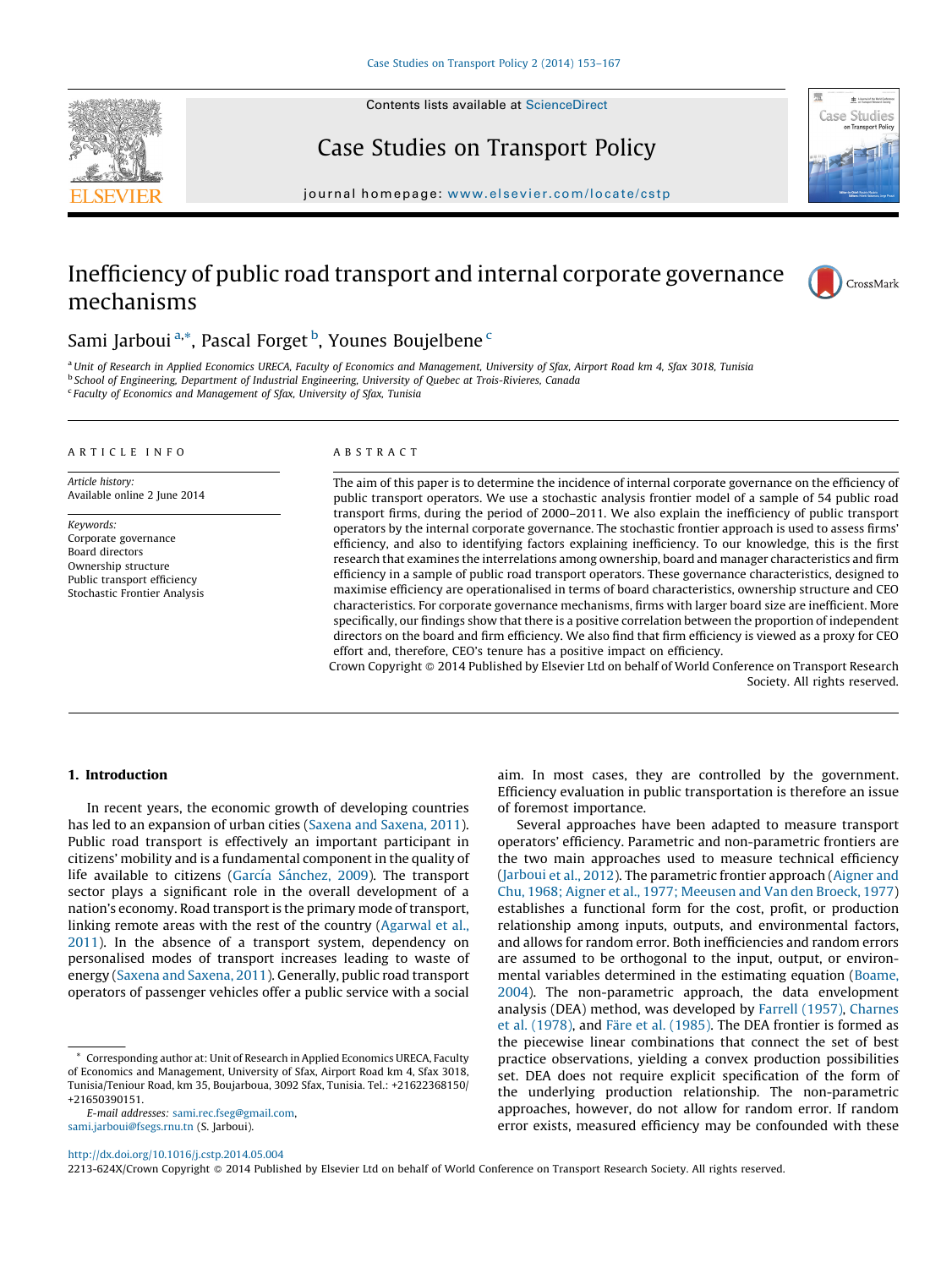

Contents lists available at [ScienceDirect](http://www.sciencedirect.com/science/journal/2213624X)

# Case Studies on Transport Policy



journal homepage: [www.elsevier.com/locate/c](www.elsevier.com/locate/cstp)stp

# Inefficiency of public road transport and internal corporate governance mechanisms



# Sami Jarboui<sup>a,\*</sup>, Pascal Forget <sup>b</sup>, Younes Boujelbene <sup>c</sup>

<sup>a</sup> Unit of Research in Applied Economics URECA, Faculty of Economics and Management, University of Sfax, Airport Road km 4, Sfax 3018, Tunisia <sup>b</sup> School of Engineering, Department of Industrial Engineering, University of Quebec at Trois-Rivieres, Canada <sup>c</sup> Faculty of Economics and Management of Sfax, University of Sfax, Tunisia

### A R T I C L E I N F O

Article history: Available online 2 June 2014

Keywords: Corporate governance Board directors Ownership structure Public transport efficiency Stochastic Frontier Analysis

## A B S T R A C T

The aim of this paper is to determine the incidence of internal corporate governance on the efficiency of public transport operators. We use a stochastic analysis frontier model of a sample of 54 public road transport firms, during the period of 2000–2011. We also explain the inefficiency of public transport operators by the internal corporate governance. The stochastic frontier approach is used to assess firms' efficiency, and also to identifying factors explaining inefficiency. To our knowledge, this is the first research that examines the interrelations among ownership, board and manager characteristics and firm efficiency in a sample of public road transport operators. These governance characteristics, designed to maximise efficiency are operationalised in terms of board characteristics, ownership structure and CEO characteristics. For corporate governance mechanisms, firms with larger board size are inefficient. More specifically, our findings show that there is a positive correlation between the proportion of independent directors on the board and firm efficiency. We also find that firm efficiency is viewed as a proxy for CEO effort and, therefore, CEO's tenure has a positive impact on efficiency.

Crown Copyright © 2014 Published by Elsevier Ltd on behalf of World Conference on Transport Research Society. All rights reserved.

# 1. Introduction

In recent years, the economic growth of developing countries has led to an expansion of urban cities (Saxena and [Saxena,](#page--1-0) 2011). Public road transport is effectively an important participant in citizens' mobility and is a fundamental component in the quality of life available to citizens (García Sánchez, 2009). The transport sector plays a significant role in the overall development of a nation's economy. Road transport is the primary mode of transport, linking remote areas with the rest of the country ([Agarwal](#page--1-0) et al., [2011\)](#page--1-0). In the absence of a transport system, dependency on personalised modes of transport increases leading to waste of energy (Saxena and [Saxena,](#page--1-0) 2011). Generally, public road transport operators of passenger vehicles offer a public service with a social

E-mail addresses: [sami.rec.fseg@gmail.com](mailto:sami.rec.fseg@gmail.com), [sami.jarboui@fsegs.rnu.tn](mailto:sami.jarboui@fsegs.rnu.tn) (S. Jarboui).

aim. In most cases, they are controlled by the government. Efficiency evaluation in public transportation is therefore an issue of foremost importance.

Several approaches have been adapted to measure transport operators' efficiency. Parametric and non-parametric frontiers are the two main approaches used to measure technical efficiency ([Jarboui](#page--1-0) et al., 2012). The parametric frontier approach ([Aigner](#page--1-0) and Chu, 1968; Aigner et al., 1977; [Meeusen](#page--1-0) and Van den Broeck, 1977) establishes a functional form for the cost, profit, or production relationship among inputs, outputs, and environmental factors, and allows for random error. Both inefficiencies and random errors are assumed to be orthogonal to the input, output, or environmental variables determined in the estimating equation ([Boame,](#page--1-0) [2004\)](#page--1-0). The non-parametric approach, the data envelopment analysis (DEA) method, was developed by Farrell [\(1957\)](#page--1-0), [Charnes](#page--1-0) et al. [\(1978\)](#page--1-0), and Färe et al. [\(1985\).](#page--1-0) The DEA frontier is formed as the piecewise linear combinations that connect the set of best practice observations, yielding a convex production possibilities set. DEA does not require explicit specification of the form of the underlying production relationship. The non-parametric approaches, however, do not allow for random error. If random error exists, measured efficiency may be confounded with these

<http://dx.doi.org/10.1016/j.cstp.2014.05.004>

2213-624X/Crown Copyright © 2014 Published by Elsevier Ltd on behalf of World Conference on Transport Research Society. All rights reserved.

Corresponding author at: Unit of Research in Applied Economics URECA, Faculty of Economics and Management, University of Sfax, Airport Road km 4, Sfax 3018, Tunisia/Teniour Road, km 35, Boujarboua, 3092 Sfax, Tunisia. Tel.: +21622368150/ +21650390151.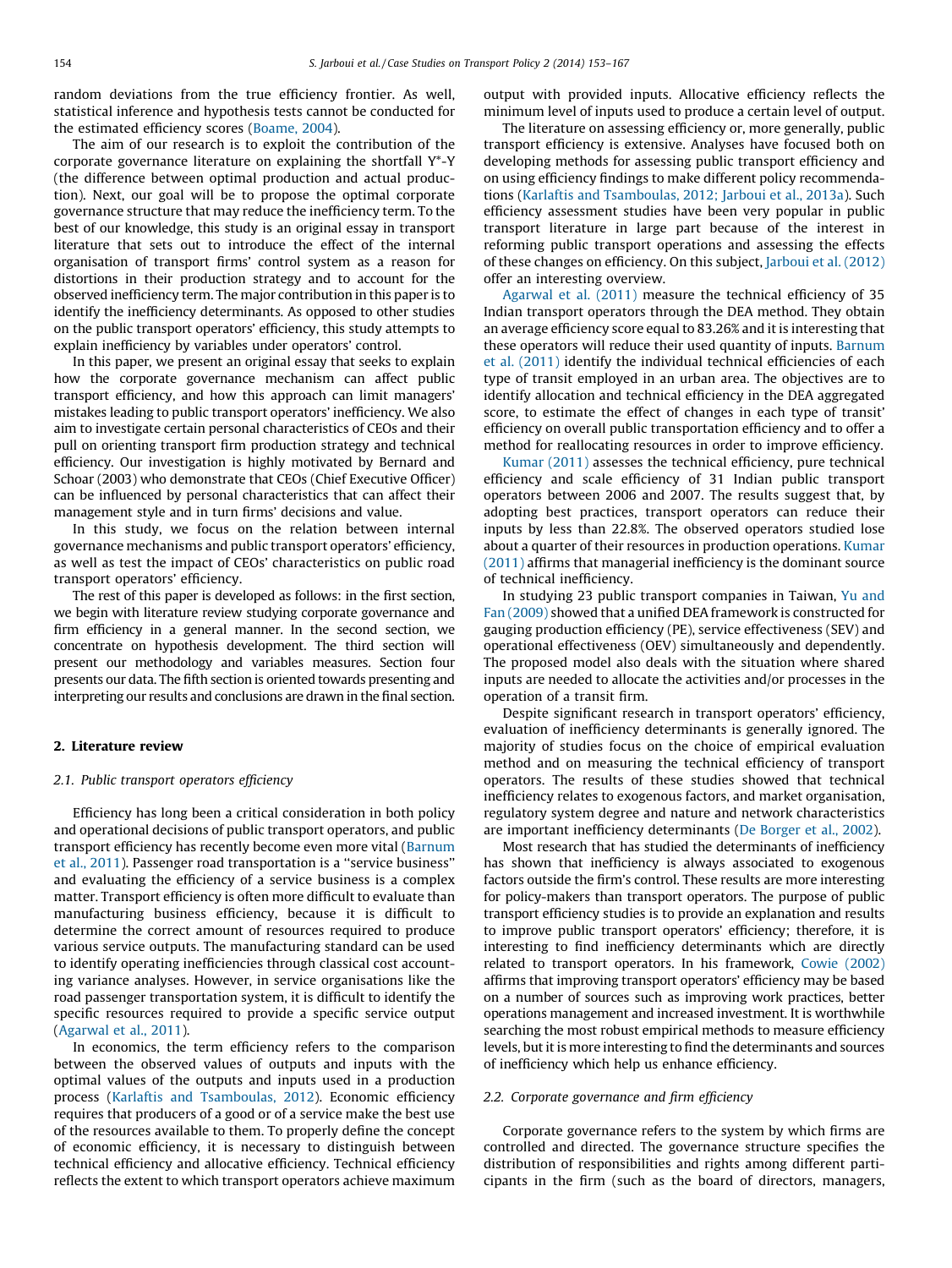random deviations from the true efficiency frontier. As well, statistical inference and hypothesis tests cannot be conducted for the estimated efficiency scores [\(Boame,](#page--1-0) 2004).

The aim of our research is to exploit the contribution of the corporate governance literature on explaining the shortfall Y\*-Y (the difference between optimal production and actual production). Next, our goal will be to propose the optimal corporate governance structure that may reduce the inefficiency term. To the best of our knowledge, this study is an original essay in transport literature that sets out to introduce the effect of the internal organisation of transport firms' control system as a reason for distortions in their production strategy and to account for the observed inefficiency term. The major contribution in this paper is to identify the inefficiency determinants. As opposed to other studies on the public transport operators' efficiency, this study attempts to explain inefficiency by variables under operators' control.

In this paper, we present an original essay that seeks to explain how the corporate governance mechanism can affect public transport efficiency, and how this approach can limit managers' mistakes leading to public transport operators' inefficiency. We also aim to investigate certain personal characteristics of CEOs and their pull on orienting transport firm production strategy and technical efficiency. Our investigation is highly motivated by Bernard and Schoar (2003) who demonstrate that CEOs (Chief Executive Officer) can be influenced by personal characteristics that can affect their management style and in turn firms' decisions and value.

In this study, we focus on the relation between internal governance mechanisms and public transport operators' efficiency, as well as test the impact of CEOs' characteristics on public road transport operators' efficiency.

The rest of this paper is developed as follows: in the first section, we begin with literature review studying corporate governance and firm efficiency in a general manner. In the second section, we concentrate on hypothesis development. The third section will present our methodology and variables measures. Section four presents our data. The fifth section is oriented towards presenting and interpreting our results and conclusions are drawn in the final section.

### 2. Literature review

### 2.1. Public transport operators efficiency

Efficiency has long been a critical consideration in both policy and operational decisions of public transport operators, and public transport efficiency has recently become even more vital [\(Barnum](#page--1-0) et al., [2011\)](#page--1-0). Passenger road transportation is a ''service business'' and evaluating the efficiency of a service business is a complex matter. Transport efficiency is often more difficult to evaluate than manufacturing business efficiency, because it is difficult to determine the correct amount of resources required to produce various service outputs. The manufacturing standard can be used to identify operating inefficiencies through classical cost accounting variance analyses. However, in service organisations like the road passenger transportation system, it is difficult to identify the specific resources required to provide a specific service output ([Agarwal](#page--1-0) et al., 2011).

In economics, the term efficiency refers to the comparison between the observed values of outputs and inputs with the optimal values of the outputs and inputs used in a production process (Karlaftis and [Tsamboulas,](#page--1-0) 2012). Economic efficiency requires that producers of a good or of a service make the best use of the resources available to them. To properly define the concept of economic efficiency, it is necessary to distinguish between technical efficiency and allocative efficiency. Technical efficiency reflects the extent to which transport operators achieve maximum output with provided inputs. Allocative efficiency reflects the minimum level of inputs used to produce a certain level of output.

The literature on assessing efficiency or, more generally, public transport efficiency is extensive. Analyses have focused both on developing methods for assessing public transport efficiency and on using efficiency findings to make different policy recommendations (Karlaftis and [Tsamboulas,](#page--1-0) 2012; Jarboui et al., 2013a). Such efficiency assessment studies have been very popular in public transport literature in large part because of the interest in reforming public transport operations and assessing the effects of these changes on efficiency. On this subject, [Jarboui](#page--1-0) et al. (2012) offer an interesting overview.

[Agarwal](#page--1-0) et al. (2011) measure the technical efficiency of 35 Indian transport operators through the DEA method. They obtain an average efficiency score equal to 83.26% and it is interesting that these operators will reduce their used quantity of inputs. [Barnum](#page--1-0) et al. [\(2011\)](#page--1-0) identify the individual technical efficiencies of each type of transit employed in an urban area. The objectives are to identify allocation and technical efficiency in the DEA aggregated score, to estimate the effect of changes in each type of transit' efficiency on overall public transportation efficiency and to offer a method for reallocating resources in order to improve efficiency.

[Kumar](#page--1-0) (2011) assesses the technical efficiency, pure technical efficiency and scale efficiency of 31 Indian public transport operators between 2006 and 2007. The results suggest that, by adopting best practices, transport operators can reduce their inputs by less than 22.8%. The observed operators studied lose about a quarter of their resources in production operations. [Kumar](#page--1-0) [\(2011\)](#page--1-0) affirms that managerial inefficiency is the dominant source of technical inefficiency.

In studying 23 public transport companies in Taiwan, Yu [and](#page--1-0) Fan [\(2009\)](#page--1-0) showed that a unified DEA framework is constructed for gauging production efficiency (PE), service effectiveness (SEV) and operational effectiveness (OEV) simultaneously and dependently. The proposed model also deals with the situation where shared inputs are needed to allocate the activities and/or processes in the operation of a transit firm.

Despite significant research in transport operators' efficiency, evaluation of inefficiency determinants is generally ignored. The majority of studies focus on the choice of empirical evaluation method and on measuring the technical efficiency of transport operators. The results of these studies showed that technical inefficiency relates to exogenous factors, and market organisation, regulatory system degree and nature and network characteristics are important inefficiency determinants (De [Borger](#page--1-0) et al., 2002).

Most research that has studied the determinants of inefficiency has shown that inefficiency is always associated to exogenous factors outside the firm's control. These results are more interesting for policy-makers than transport operators. The purpose of public transport efficiency studies is to provide an explanation and results to improve public transport operators' efficiency; therefore, it is interesting to find inefficiency determinants which are directly related to transport operators. In his framework, Cowie [\(2002\)](#page--1-0) affirms that improving transport operators' efficiency may be based on a number of sources such as improving work practices, better operations management and increased investment. It is worthwhile searching the most robust empirical methods to measure efficiency levels, but it is more interesting to find the determinants and sources of inefficiency which help us enhance efficiency.

### 2.2. Corporate governance and firm efficiency

Corporate governance refers to the system by which firms are controlled and directed. The governance structure specifies the distribution of responsibilities and rights among different participants in the firm (such as the board of directors, managers,